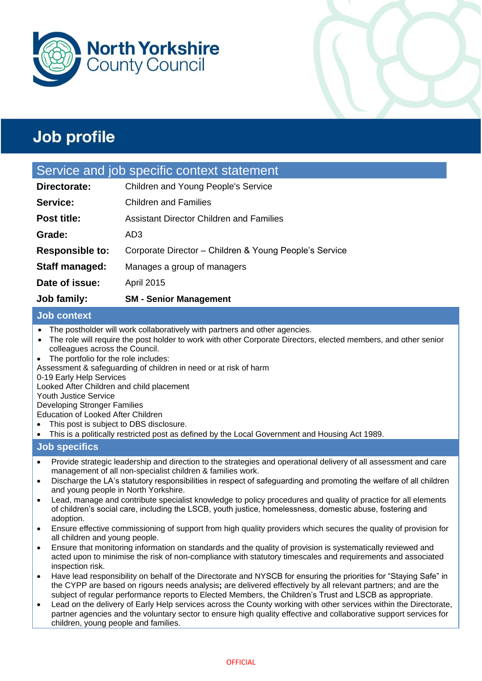



## Service and job specific context statement

| Job family:            | <b>SM - Senior Management</b>                          |
|------------------------|--------------------------------------------------------|
| Date of issue:         | <b>April 2015</b>                                      |
| Staff managed:         | Manages a group of managers                            |
| <b>Responsible to:</b> | Corporate Director - Children & Young People's Service |
| Grade:                 | AD <sub>3</sub>                                        |
| Post title:            | <b>Assistant Director Children and Families</b>        |
| Service:               | <b>Children and Families</b>                           |
| Directorate:           | Children and Young People's Service                    |

## **Job context**

- The postholder will work collaboratively with partners and other agencies.
- The role will require the post holder to work with other Corporate Directors, elected members, and other senior colleagues across the Council.
- The portfolio for the role includes:
- Assessment & safeguarding of children in need or at risk of harm

## 0-19 Early Help Services

Looked After Children and child placement

Youth Justice Service

Developing Stronger Families

Education of Looked After Children

- This post is subject to DBS disclosure.
- This is a politically restricted post as defined by the Local Government and Housing Act 1989.

## **Job specifics**

- Provide strategic leadership and direction to the strategies and operational delivery of all assessment and care management of all non-specialist children & families work.
- Discharge the LA's statutory responsibilities in respect of safeguarding and promoting the welfare of all children and young people in North Yorkshire.
- Lead, manage and contribute specialist knowledge to policy procedures and quality of practice for all elements of children's social care, including the LSCB, youth justice, homelessness, domestic abuse, fostering and adoption.
- Ensure effective commissioning of support from high quality providers which secures the quality of provision for all children and young people.
- Ensure that monitoring information on standards and the quality of provision is systematically reviewed and acted upon to minimise the risk of non-compliance with statutory timescales and requirements and associated inspection risk.
- Have lead responsibility on behalf of the Directorate and NYSCB for ensuring the priorities for "Staying Safe" in the CYPP are based on rigours needs analysis**;** are delivered effectively by all relevant partners; and are the subject of regular performance reports to Elected Members, the Children's Trust and LSCB as appropriate.
- Lead on the delivery of Early Help services across the County working with other services within the Directorate, partner agencies and the voluntary sector to ensure high quality effective and collaborative support services for children, young people and families.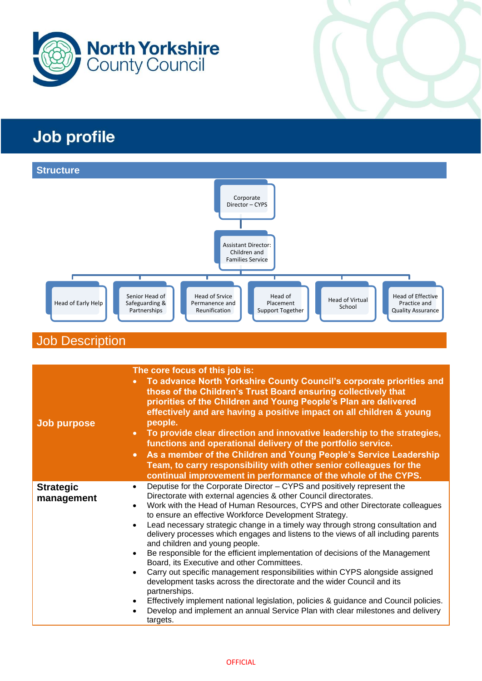



## Job Description

| <b>Job purpose</b>             | The core focus of this job is:<br>To advance North Yorkshire County Council's corporate priorities and<br>$\bullet$<br>those of the Children's Trust Board ensuring collectively that<br>priorities of the Children and Young People's Plan are delivered<br>effectively and are having a positive impact on all children & young<br>people.                                                                                                                                                                                                                                                                                                                                                                                                                                                                                                                                                                                                                                                                                                  |  |  |
|--------------------------------|-----------------------------------------------------------------------------------------------------------------------------------------------------------------------------------------------------------------------------------------------------------------------------------------------------------------------------------------------------------------------------------------------------------------------------------------------------------------------------------------------------------------------------------------------------------------------------------------------------------------------------------------------------------------------------------------------------------------------------------------------------------------------------------------------------------------------------------------------------------------------------------------------------------------------------------------------------------------------------------------------------------------------------------------------|--|--|
|                                | To provide clear direction and innovative leadership to the strategies,<br>$\bullet$<br>functions and operational delivery of the portfolio service.                                                                                                                                                                                                                                                                                                                                                                                                                                                                                                                                                                                                                                                                                                                                                                                                                                                                                          |  |  |
|                                | As a member of the Children and Young People's Service Leadership<br>$\bullet$<br>Team, to carry responsibility with other senior colleagues for the<br>continual improvement in performance of the whole of the CYPS.                                                                                                                                                                                                                                                                                                                                                                                                                                                                                                                                                                                                                                                                                                                                                                                                                        |  |  |
| <b>Strategic</b><br>management | Deputise for the Corporate Director - CYPS and positively represent the<br>$\bullet$<br>Directorate with external agencies & other Council directorates.<br>Work with the Head of Human Resources, CYPS and other Directorate colleagues<br>to ensure an effective Workforce Development Strategy.<br>Lead necessary strategic change in a timely way through strong consultation and<br>$\bullet$<br>delivery processes which engages and listens to the views of all including parents<br>and children and young people.<br>Be responsible for the efficient implementation of decisions of the Management<br>٠<br>Board, its Executive and other Committees.<br>Carry out specific management responsibilities within CYPS alongside assigned<br>٠<br>development tasks across the directorate and the wider Council and its<br>partnerships.<br>Effectively implement national legislation, policies & guidance and Council policies.<br>٠<br>Develop and implement an annual Service Plan with clear milestones and delivery<br>targets. |  |  |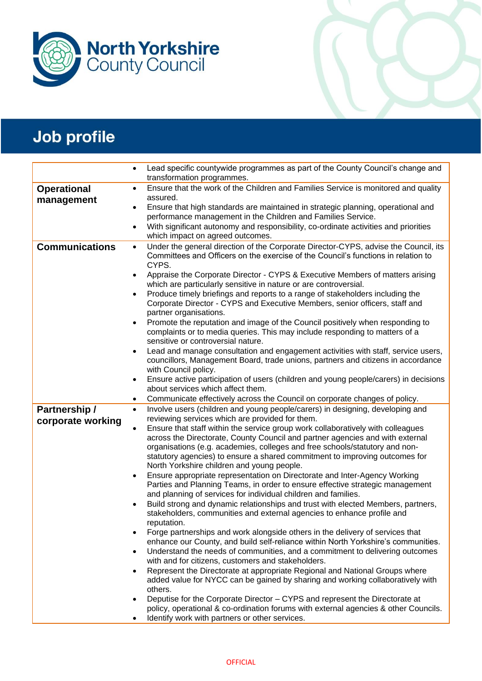

|                       | Lead specific countywide programmes as part of the County Council's change and<br>transformation programmes.                                                                       |  |
|-----------------------|------------------------------------------------------------------------------------------------------------------------------------------------------------------------------------|--|
| <b>Operational</b>    | Ensure that the work of the Children and Families Service is monitored and quality<br>$\bullet$                                                                                    |  |
| management            | assured.                                                                                                                                                                           |  |
|                       | Ensure that high standards are maintained in strategic planning, operational and<br>$\bullet$                                                                                      |  |
|                       | performance management in the Children and Families Service.                                                                                                                       |  |
|                       | With significant autonomy and responsibility, co-ordinate activities and priorities<br>$\bullet$                                                                                   |  |
| <b>Communications</b> | which impact on agreed outcomes.<br>Under the general direction of the Corporate Director-CYPS, advise the Council, its                                                            |  |
|                       | $\bullet$<br>Committees and Officers on the exercise of the Council's functions in relation to                                                                                     |  |
|                       | CYPS.                                                                                                                                                                              |  |
|                       | Appraise the Corporate Director - CYPS & Executive Members of matters arising<br>$\bullet$                                                                                         |  |
|                       | which are particularly sensitive in nature or are controversial.                                                                                                                   |  |
|                       | Produce timely briefings and reports to a range of stakeholders including the<br>$\bullet$                                                                                         |  |
|                       | Corporate Director - CYPS and Executive Members, senior officers, staff and                                                                                                        |  |
|                       | partner organisations.                                                                                                                                                             |  |
|                       | Promote the reputation and image of the Council positively when responding to<br>$\bullet$                                                                                         |  |
|                       | complaints or to media queries. This may include responding to matters of a                                                                                                        |  |
|                       | sensitive or controversial nature.                                                                                                                                                 |  |
|                       | Lead and manage consultation and engagement activities with staff, service users,<br>$\bullet$<br>councillors, Management Board, trade unions, partners and citizens in accordance |  |
|                       | with Council policy.                                                                                                                                                               |  |
|                       | Ensure active participation of users (children and young people/carers) in decisions<br>٠                                                                                          |  |
|                       | about services which affect them.                                                                                                                                                  |  |
|                       | Communicate effectively across the Council on corporate changes of policy.<br>٠                                                                                                    |  |
| Partnership /         | Involve users (children and young people/carers) in designing, developing and<br>$\bullet$                                                                                         |  |
| corporate working     | reviewing services which are provided for them.                                                                                                                                    |  |
|                       | Ensure that staff within the service group work collaboratively with colleagues<br>$\bullet$                                                                                       |  |
|                       | across the Directorate, County Council and partner agencies and with external                                                                                                      |  |
|                       | organisations (e.g. academies, colleges and free schools/statutory and non-<br>statutory agencies) to ensure a shared commitment to improving outcomes for                         |  |
|                       | North Yorkshire children and young people.                                                                                                                                         |  |
|                       | Ensure appropriate representation on Directorate and Inter-Agency Working                                                                                                          |  |
|                       | Parties and Planning Teams, in order to ensure effective strategic management                                                                                                      |  |
|                       | and planning of services for individual children and families.                                                                                                                     |  |
|                       | Build strong and dynamic relationships and trust with elected Members, partners,<br>$\bullet$                                                                                      |  |
|                       | stakeholders, communities and external agencies to enhance profile and                                                                                                             |  |
|                       | reputation.                                                                                                                                                                        |  |
|                       | Forge partnerships and work alongside others in the delivery of services that                                                                                                      |  |
|                       | enhance our County, and build self-reliance within North Yorkshire's communities.                                                                                                  |  |
|                       | Understand the needs of communities, and a commitment to delivering outcomes<br>$\bullet$<br>with and for citizens, customers and stakeholders.                                    |  |
|                       | Represent the Directorate at appropriate Regional and National Groups where<br>$\bullet$                                                                                           |  |
|                       | added value for NYCC can be gained by sharing and working collaboratively with                                                                                                     |  |
|                       | others.                                                                                                                                                                            |  |
|                       | Deputise for the Corporate Director – CYPS and represent the Directorate at                                                                                                        |  |
|                       | policy, operational & co-ordination forums with external agencies & other Councils.                                                                                                |  |
|                       | Identify work with partners or other services.                                                                                                                                     |  |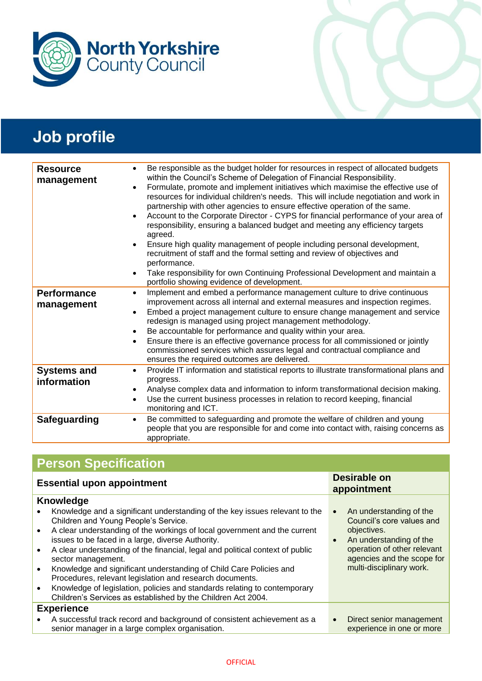

| <b>Resource</b><br>management     | Be responsible as the budget holder for resources in respect of allocated budgets<br>$\bullet$<br>within the Council's Scheme of Delegation of Financial Responsibility.<br>Formulate, promote and implement initiatives which maximise the effective use of<br>$\bullet$<br>resources for individual children's needs. This will include negotiation and work in<br>partnership with other agencies to ensure effective operation of the same.<br>Account to the Corporate Director - CYPS for financial performance of your area of<br>$\bullet$<br>responsibility, ensuring a balanced budget and meeting any efficiency targets<br>agreed.<br>Ensure high quality management of people including personal development,<br>$\bullet$<br>recruitment of staff and the formal setting and review of objectives and<br>performance.<br>Take responsibility for own Continuing Professional Development and maintain a<br>$\bullet$<br>portfolio showing evidence of development. |
|-----------------------------------|----------------------------------------------------------------------------------------------------------------------------------------------------------------------------------------------------------------------------------------------------------------------------------------------------------------------------------------------------------------------------------------------------------------------------------------------------------------------------------------------------------------------------------------------------------------------------------------------------------------------------------------------------------------------------------------------------------------------------------------------------------------------------------------------------------------------------------------------------------------------------------------------------------------------------------------------------------------------------------|
| <b>Performance</b><br>management  | Implement and embed a performance management culture to drive continuous<br>$\bullet$<br>improvement across all internal and external measures and inspection regimes.<br>Embed a project management culture to ensure change management and service<br>$\bullet$<br>redesign is managed using project management methodology.<br>Be accountable for performance and quality within your area.<br>$\bullet$<br>Ensure there is an effective governance process for all commissioned or jointly<br>$\bullet$<br>commissioned services which assures legal and contractual compliance and<br>ensures the required outcomes are delivered.                                                                                                                                                                                                                                                                                                                                          |
| <b>Systems and</b><br>information | Provide IT information and statistical reports to illustrate transformational plans and<br>$\bullet$<br>progress.<br>Analyse complex data and information to inform transformational decision making.<br>٠<br>Use the current business processes in relation to record keeping, financial<br>$\bullet$<br>monitoring and ICT.                                                                                                                                                                                                                                                                                                                                                                                                                                                                                                                                                                                                                                                    |
| Safeguarding                      | Be committed to safeguarding and promote the welfare of children and young<br>$\bullet$<br>people that you are responsible for and come into contact with, raising concerns as<br>appropriate.                                                                                                                                                                                                                                                                                                                                                                                                                                                                                                                                                                                                                                                                                                                                                                                   |

# **Person Specification**

| <b>Essential upon appointment</b>                                                                                                                                                                                                                                                                                                                                                                                                                                                                                                                                                                                                                                                                      | <b>Desirable on</b><br>appointment                                                                                                                                                                                |
|--------------------------------------------------------------------------------------------------------------------------------------------------------------------------------------------------------------------------------------------------------------------------------------------------------------------------------------------------------------------------------------------------------------------------------------------------------------------------------------------------------------------------------------------------------------------------------------------------------------------------------------------------------------------------------------------------------|-------------------------------------------------------------------------------------------------------------------------------------------------------------------------------------------------------------------|
| <b>Knowledge</b><br>Knowledge and a significant understanding of the key issues relevant to the<br>Children and Young People's Service.<br>A clear understanding of the workings of local government and the current<br>$\bullet$<br>issues to be faced in a large, diverse Authority.<br>A clear understanding of the financial, legal and political context of public<br>sector management.<br>Knowledge and significant understanding of Child Care Policies and<br>$\bullet$<br>Procedures, relevant legislation and research documents.<br>Knowledge of legislation, policies and standards relating to contemporary<br>$\bullet$<br>Children's Services as established by the Children Act 2004. | An understanding of the<br>$\bullet$<br>Council's core values and<br>objectives.<br>An understanding of the<br>$\bullet$<br>operation of other relevant<br>agencies and the scope for<br>multi-disciplinary work. |
| <b>Experience</b><br>A successful track record and background of consistent achievement as a<br>senior manager in a large complex organisation.                                                                                                                                                                                                                                                                                                                                                                                                                                                                                                                                                        | Direct senior management<br>$\bullet$<br>experience in one or more                                                                                                                                                |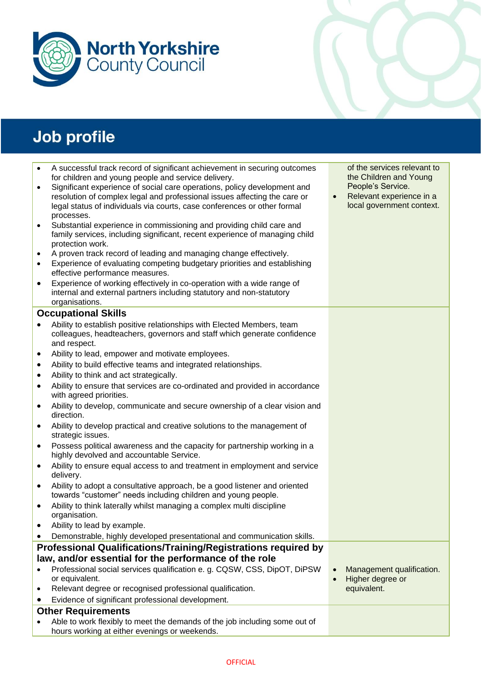



| $\bullet$ | A successful track record of significant achievement in securing outcomes                                             | of the services relevant to           |
|-----------|-----------------------------------------------------------------------------------------------------------------------|---------------------------------------|
|           | for children and young people and service delivery.                                                                   | the Children and Young                |
| $\bullet$ | Significant experience of social care operations, policy development and                                              | People's Service.                     |
|           | resolution of complex legal and professional issues affecting the care or                                             | Relevant experience in a<br>$\bullet$ |
|           | legal status of individuals via courts, case conferences or other formal                                              | local government context.             |
|           | processes.                                                                                                            |                                       |
| $\bullet$ | Substantial experience in commissioning and providing child care and                                                  |                                       |
|           | family services, including significant, recent experience of managing child<br>protection work.                       |                                       |
| $\bullet$ | A proven track record of leading and managing change effectively.                                                     |                                       |
| $\bullet$ | Experience of evaluating competing budgetary priorities and establishing                                              |                                       |
|           | effective performance measures.                                                                                       |                                       |
| $\bullet$ | Experience of working effectively in co-operation with a wide range of                                                |                                       |
|           | internal and external partners including statutory and non-statutory                                                  |                                       |
|           | organisations.                                                                                                        |                                       |
|           | <b>Occupational Skills</b>                                                                                            |                                       |
| $\bullet$ | Ability to establish positive relationships with Elected Members, team                                                |                                       |
|           | colleagues, headteachers, governors and staff which generate confidence                                               |                                       |
|           | and respect.                                                                                                          |                                       |
| $\bullet$ | Ability to lead, empower and motivate employees.                                                                      |                                       |
| $\bullet$ | Ability to build effective teams and integrated relationships.                                                        |                                       |
| $\bullet$ | Ability to think and act strategically.                                                                               |                                       |
| $\bullet$ | Ability to ensure that services are co-ordinated and provided in accordance<br>with agreed priorities.                |                                       |
| $\bullet$ | Ability to develop, communicate and secure ownership of a clear vision and                                            |                                       |
|           | direction.                                                                                                            |                                       |
| $\bullet$ | Ability to develop practical and creative solutions to the management of<br>strategic issues.                         |                                       |
| $\bullet$ | Possess political awareness and the capacity for partnership working in a<br>highly devolved and accountable Service. |                                       |
| $\bullet$ | Ability to ensure equal access to and treatment in employment and service<br>delivery.                                |                                       |
| $\bullet$ | Ability to adopt a consultative approach, be a good listener and oriented                                             |                                       |
|           | towards "customer" needs including children and young people.                                                         |                                       |
| $\bullet$ | Ability to think laterally whilst managing a complex multi discipline<br>organisation.                                |                                       |
|           | Ability to lead by example.                                                                                           |                                       |
|           | Demonstrable, highly developed presentational and communication skills.                                               |                                       |
|           | <b>Professional Qualifications/Training/Registrations required by</b>                                                 |                                       |
|           | law, and/or essential for the performance of the role                                                                 |                                       |
|           | Professional social services qualification e. g. CQSW, CSS, DipOT, DiPSW                                              | Management qualification.             |
|           | or equivalent.                                                                                                        | Higher degree or                      |
| ٠         | Relevant degree or recognised professional qualification.                                                             | equivalent.                           |
|           | Evidence of significant professional development.                                                                     |                                       |
|           | <b>Other Requirements</b>                                                                                             |                                       |
|           | Able to work flexibly to meet the demands of the job including some out of                                            |                                       |
|           | hours working at either evenings or weekends.                                                                         |                                       |